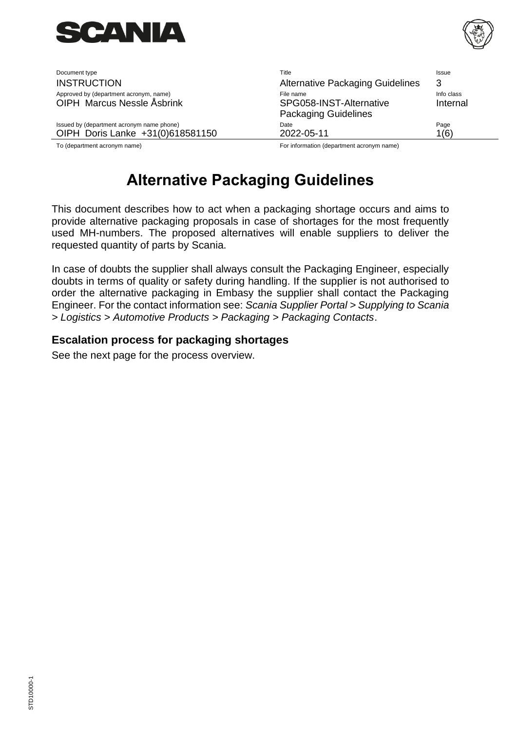

OIPH Marcus Nessle Åsbrink

Document type **Title** Issue Issue Issue Issue Issue Issue Issue Issue Issue Issue Issue Issue Issue Issue Issue INSTRUCTION **Alternative Packaging Guidelines** 3 Approved by (department acronym, name) File name Info class Packaging Guidelines Internal Issued by (department acronym name phone) and the Community Control Date Community Control of Page Page OIPH Doris Lanke +31(0)618581150 2022-05-11 2022-05-11

To (department acronym name) For information (department acronym name)

# <span id="page-0-0"></span>**[Alternative Packaging Guidelines](#page-0-0)**

This document describes how to act when a packaging shortage occurs and aims to provide alternative packaging proposals in case of shortages for the most frequently used MH-numbers. The proposed alternatives will enable suppliers to deliver the requested quantity of parts by Scania.

In case of doubts the supplier shall always consult the Packaging Engineer, especially doubts in terms of quality or safety during handling. If the supplier is not authorised to order the alternative packaging in Embasy the supplier shall contact the Packaging Engineer. For the contact information see: *Scania Supplier Portal > Supplying to Scania > Logistics > Automotive Products > Packaging > Packaging Contacts*.

#### **Escalation process for packaging shortages**

See the next page for the process overview.

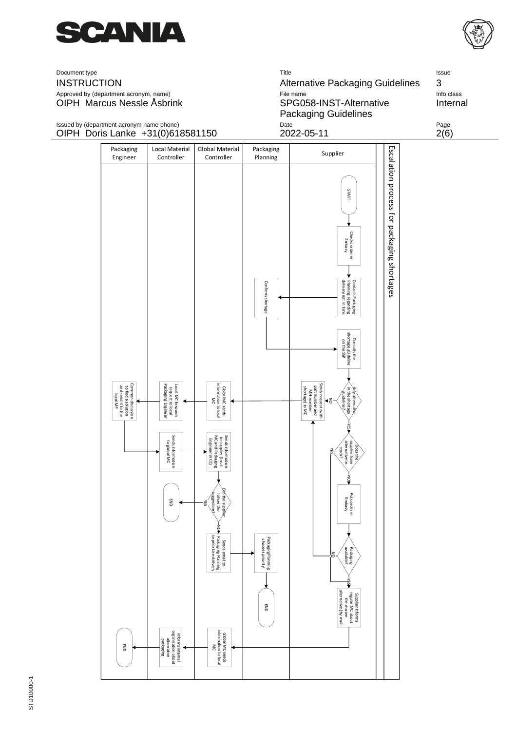









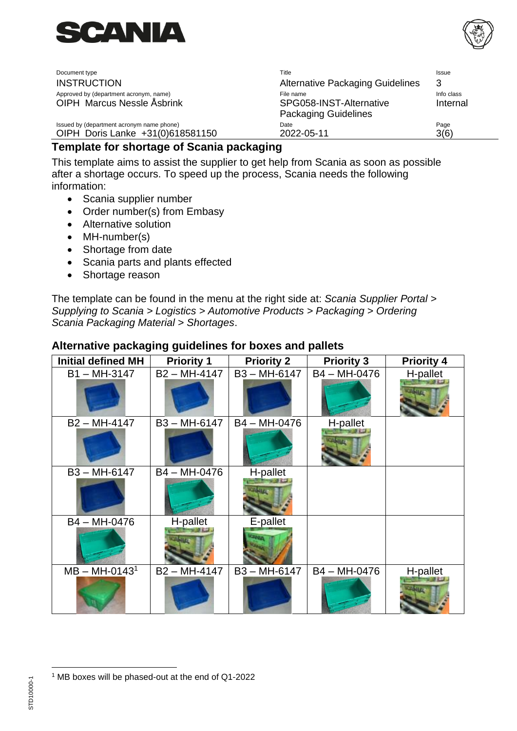

OIPH Marcus Nessle Åsbrink SPG058-INST-Alternative

Document type **Title** Issue Issue Issue Issue Issue Issue Issue Issue Issue Issue Issue Issue Issue Issue Issue INSTRUCTION **Alternative Packaging Guidelines** 3 Approved by (department acronym, name) and the state of the state of the name Info class and the class of the class Packaging Guidelines Internal Issued by (department acronym name phone) and the Community Control Date Community Control of Page Page OIPH Doris Lanke +31(0)618581150 2022-05-11 3(6)

## **Template for shortage of Scania packaging**

This template aims to assist the supplier to get help from Scania as soon as possible after a shortage occurs. To speed up the process, Scania needs the following information:

- Scania supplier number
- Order number(s) from Embasy
- Alternative solution
- MH-number(s)
- Shortage from date
- Scania parts and plants effected
- Shortage reason

The template can be found in the menu at the right side at: *Scania Supplier Portal > Supplying to Scania > Logistics > Automotive Products > Packaging > Ordering Scania Packaging Material > Shortages*.

| <b>Initial defined MH</b> | <b>Priority 1</b> | <b>Priority 2</b> | <b>Priority 3</b> | <b>Priority 4</b> |
|---------------------------|-------------------|-------------------|-------------------|-------------------|
| $B1 - MH-3147$            | $B2 - MH-4147$    | B3-MH-6147        | B4 - MH-0476      | H-pallet          |
| B2 - MH-4147              | B3-MH-6147        | B4 - MH-0476      | H-pallet          |                   |
| B3-MH-6147                | B4 - MH-0476      | H-pallet          |                   |                   |
| B4 - MH-0476              | H-pallet          | E-pallet          |                   |                   |
| $MB - MH-01431$           | $B2 - MH-4147$    | $B3 - MH-6147$    | B4 - MH-0476      | H-pallet          |

#### **Alternative packaging guidelines for boxes and pallets**

<sup>1</sup> MB boxes will be phased-out at the end of Q1-2022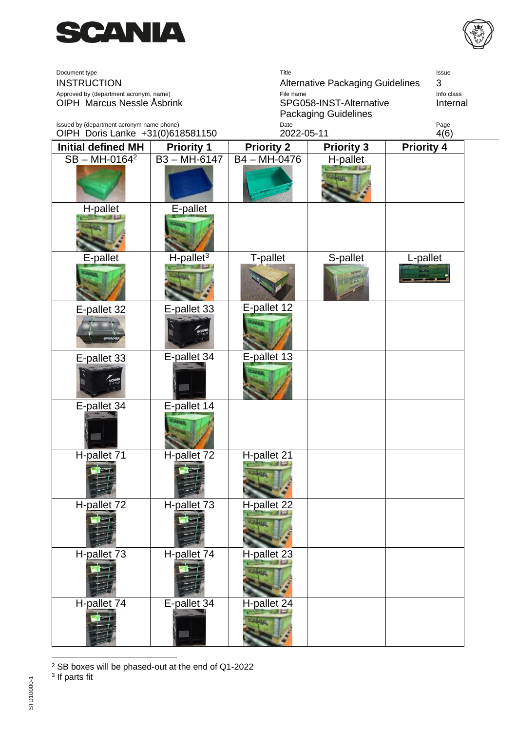



| Document type<br><b>INSTRUCTION</b><br>Approved by (department acronym, name)<br>OIPH Marcus Nessle Åsbrink |                          | Title<br>File name<br>SPG058-INST-Alternative     | Issue<br><b>Alternative Packaging Guidelines</b><br>3<br>Info class<br>Internal |                   |
|-------------------------------------------------------------------------------------------------------------|--------------------------|---------------------------------------------------|---------------------------------------------------------------------------------|-------------------|
| Issued by (department acronym name phone)<br>OIPH Doris Lanke +31(0)618581150                               |                          | <b>Packaging Guidelines</b><br>Date<br>2022-05-11 |                                                                                 | Page<br>4(6)      |
| <b>Initial defined MH</b>                                                                                   | <b>Priority 1</b>        | <b>Priority 2</b>                                 | <b>Priority 3</b>                                                               | <b>Priority 4</b> |
| $SB - MH-0164^2$                                                                                            | $B3 - MH-6147$           | B4 - MH-0476                                      | H-pallet                                                                        |                   |
|                                                                                                             |                          |                                                   |                                                                                 |                   |
| H-pallet                                                                                                    | E-pallet                 |                                                   |                                                                                 |                   |
|                                                                                                             |                          |                                                   |                                                                                 |                   |
| E-pallet                                                                                                    | $H$ -pallet <sup>3</sup> | T-pallet                                          | S-pallet                                                                        | L-pallet          |
|                                                                                                             |                          |                                                   |                                                                                 |                   |
| E-pallet 32                                                                                                 | E-pallet 33              | E-pallet 12                                       |                                                                                 |                   |
|                                                                                                             |                          |                                                   |                                                                                 |                   |
| E-pallet 33                                                                                                 | E-pallet 34              | E-pallet 13                                       |                                                                                 |                   |
|                                                                                                             |                          |                                                   |                                                                                 |                   |
| E-pallet 34                                                                                                 | E-pallet 14              |                                                   |                                                                                 |                   |
|                                                                                                             |                          |                                                   |                                                                                 |                   |
| H-pallet 71                                                                                                 | H-pallet 72              | H-pallet 21                                       |                                                                                 |                   |
|                                                                                                             |                          |                                                   |                                                                                 |                   |
| H-pallet 72                                                                                                 | H-pallet 73              | H-pallet 22                                       |                                                                                 |                   |
|                                                                                                             |                          |                                                   |                                                                                 |                   |
| H-pallet 73                                                                                                 | H-pallet 74              | H-pallet 23                                       |                                                                                 |                   |
|                                                                                                             |                          |                                                   |                                                                                 |                   |
| H-pallet 74                                                                                                 | E-pallet 34              | H-pallet 24                                       |                                                                                 |                   |

<sup>&</sup>lt;sup>2</sup> SB boxes will be phased-out at the end of Q1-2022<br><sup>3</sup> If parts fit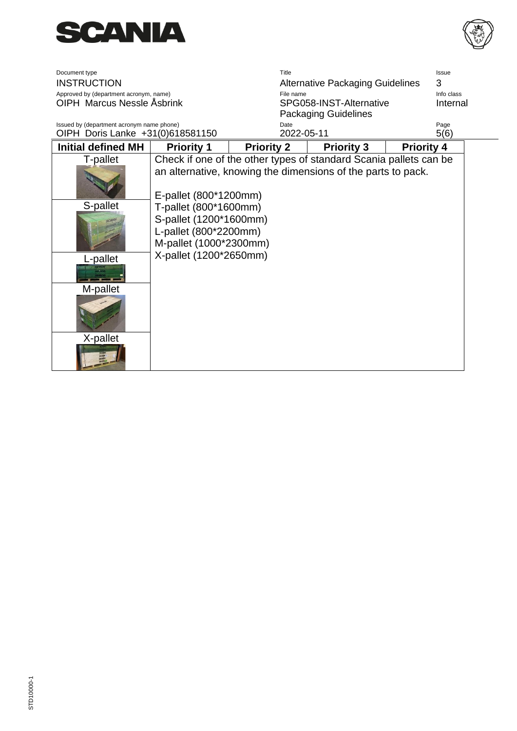



| Document type                             |                        | Title                                                             |                                         | <b>Issue</b>      |  |
|-------------------------------------------|------------------------|-------------------------------------------------------------------|-----------------------------------------|-------------------|--|
| <b>INSTRUCTION</b>                        |                        |                                                                   | <b>Alternative Packaging Guidelines</b> | 3                 |  |
| Approved by (department acronym, name)    |                        | File name                                                         |                                         | Info class        |  |
| OIPH Marcus Nessle Åsbrink                |                        |                                                                   | SPG058-INST-Alternative                 | Internal          |  |
|                                           |                        |                                                                   | <b>Packaging Guidelines</b>             |                   |  |
| Issued by (department acronym name phone) |                        | Date                                                              |                                         | Page              |  |
| OIPH Doris Lanke +31(0)618581150          |                        | 2022-05-11                                                        |                                         | 5(6)              |  |
| <b>Initial defined MH</b>                 | <b>Priority 1</b>      | <b>Priority 2</b>                                                 | <b>Priority 3</b>                       | <b>Priority 4</b> |  |
| T-pallet                                  |                        | Check if one of the other types of standard Scania pallets can be |                                         |                   |  |
|                                           |                        | an alternative, knowing the dimensions of the parts to pack.      |                                         |                   |  |
|                                           |                        |                                                                   |                                         |                   |  |
|                                           | E-pallet (800*1200mm)  |                                                                   |                                         |                   |  |
| S-pallet                                  | T-pallet (800*1600mm)  |                                                                   |                                         |                   |  |
|                                           |                        |                                                                   |                                         |                   |  |
|                                           | S-pallet (1200*1600mm) |                                                                   |                                         |                   |  |
|                                           | L-pallet (800*2200mm)  |                                                                   |                                         |                   |  |
|                                           | M-pallet (1000*2300mm) |                                                                   |                                         |                   |  |
| L-pallet                                  | X-pallet (1200*2650mm) |                                                                   |                                         |                   |  |
|                                           |                        |                                                                   |                                         |                   |  |
|                                           |                        |                                                                   |                                         |                   |  |
| M-pallet                                  |                        |                                                                   |                                         |                   |  |
|                                           |                        |                                                                   |                                         |                   |  |
|                                           |                        |                                                                   |                                         |                   |  |
|                                           |                        |                                                                   |                                         |                   |  |
|                                           |                        |                                                                   |                                         |                   |  |
| X-pallet                                  |                        |                                                                   |                                         |                   |  |
|                                           |                        |                                                                   |                                         |                   |  |